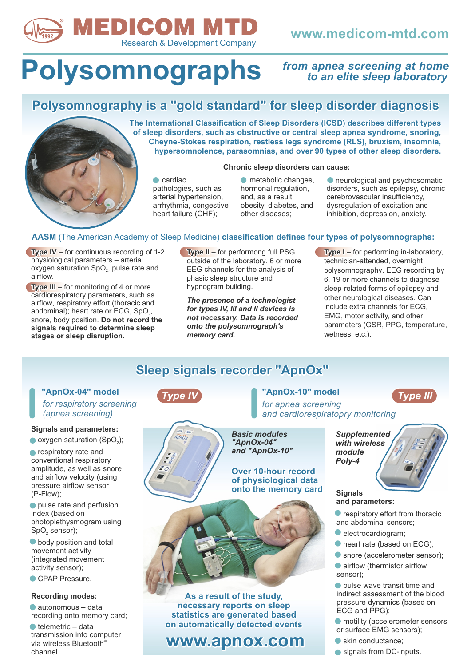

### **www.medicom-mtd.com**

# **Polysomnographs**

### *from apnea screening at home to an elite sleep laboratory*

### **Polysomnography is a "gold standard" for sleep disorder diagnosis**



**The International Classification of Sleep Disorders (ICSD) describes different types of sleep disorders, such as obstructive or central sleep apnea syndrome, snoring, Cheyne-Stokes respiration, restless legs syndrome (RLS), bruxism, insomnia, hypersomnolence, parasomnias, and over 90 types of other sleep disorders.**

#### **Chronic sleep disorders can cause:**

 $\bullet$  cardiac pathologies, such as arterial hypertension, arrhythmia, congestive heart failure (CHF);

 $\bullet$  metabolic changes, hormonal regulation, and, as a result, obesity, diabetes, and other diseases;

neurological and psychosomatic disorders, such as epilepsy, chronic cerebrovascular insufficiency, dysregulation of excitation and inhibition, depression, anxiety.

#### **AASM** (The American Academy of Sleep Medicine) **classification defines four types of polysomnographs:**

**Type IV** – for continuous recording of 1-2 physiological parameters - arterial oxygen saturation  $SpO<sub>2</sub>$ , pulse rate and airflow.

**Type III** – for monitoring of 4 or more cardiorespiratory parameters, such as airflow, respiratory effort (thoracic and abdominal); heart rate or ECG,  $SpO<sub>2</sub>$ , snore, body position. **Do not record the signals required to determine sleep stages or sleep disruption.**

**Type II** – for performong full PSG<br>
outside of the laboratory. 6 or more<br>
EEG channels for the analysis of<br>
phasic sleep structure and<br>
the proposition of the proposition of the proposition of the proposition<br>
The proposi outside of the laboratory. 6 or more EEG channels for the analysis of phasic sleep structure and hypnogram building.

*The presence of a technologist for types IV, III and II devices is not necessary. Data is recorded onto the polysomnograph's memory card.*

From the performand or monitoring of 1-2<br>
Internal parameters – arterial coutside of the laboratory. 6 or more<br>
Internal extra equal and<br>
Tradion SpO<sub>2</sub>, pulse rate and<br>
FEG channels for the analysis of<br>
phasic sleep struc technician-attended, overnight polysomnography. EEG recording by 6, 19 or more channels to diagnose sleep-related forms of epilepsy and other neurological diseases. Can include extra channels for ECG, EMG, motor activity, and other parameters (GSR, PPG, temperature, wetness, etc.).

### **Sleep signals recorder "ApnOx"**

### **"ApnOx-04" model "ApnOx-10" model**

*for respiratory screening (apnea screening)*

#### **Signals and parameters:**

 $\bullet$  oxygen saturation (SpO<sub>2</sub>);

**respiratory rate and** conventional respiratory amplitude, as well as snore and airflow velocity (using pressure airflow sensor (P-Flow);

pulse rate and perfusion index (based on photoplethysmogram using SpO<sub>2</sub> sensor);

**body position and total** movement activity (integrated movement activity sensor);

CPAP Pressure.

#### **Recording modes:**

autonomous – data recording onto memory card;

 $\bullet$  telemetric – data transmission into computer via wireless Bluetooth® channel.



*for apnea screening and cardiorespiratopry monitoring* "ApnOx-10" model **Type III** 



**As a result of the study, necessary reports on sleep statistics are generated based on automatically detected events**

### **www.apnox.com**



#### **Signals and parameters:**

- **•** respiratory effort from thoracic and abdominal sensors;
- electrocardiogram;
- heart rate (based on ECG);
- snore (accelerometer sensor);
- **airflow (thermistor airflow** sensor);

**P** pulse wave transit time and indirect assessment of the blood pressure dynamics (based on ECG and PPG);

- motility (accelerometer sensors or surface EMG sensors);
- skin conductance;
- signals from DC-inputs.